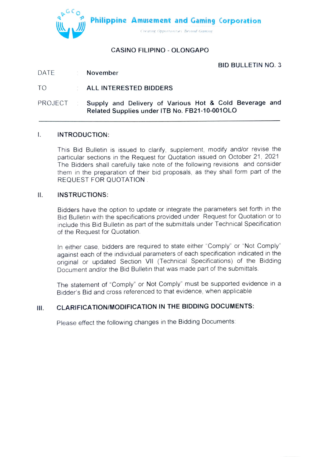

# CASINO FILIPINO - OLONGAPO

BID BULLETIN NO.3

### DATE : November

## TO ALL INTERESTED BIDDERS

Supply and Delivery of Various Hot & Cold Beverage and Related Supplies under ITB No. FB21-10-0010LO PROJECT :

#### $\mathsf{L}$ INTRODUCTION:

This Bid Bulletin is issued to clarify, supplement, modify andlor revise the particular sections in the Request for Quotation issued on October 21, 2021 The Bidders shall carefully take note of the following revisions and consider them in the preparation of their bid proposals, as they shall form part of the REQUEST FOR QUOTATION

### I. INSTRUCTIONS:

Bidders have the option to update or integrate the parameters set forth in the Bid Bulletin with the specifications provided under Request for Quotation or to include this Bid Bulletin as part of the submittals under Technical Specification of the Request for Quotation.

In either case, bidders are required to state either "Comply" or "Not Comply" against each of the individual parameters of each specification indicated in the original or updated Section Vll (Technical Specifications) of the Bidding Document and/or the Bid Bulletin that was made part of the submittals.

The statement of "Comply' or Not Comply" must be supported evidence in a Bidder's Bid and cross referenced to that evidence, when applicable

#### CLARIFICATION/MODIFICATION IN THE BIDDING DOCUMENTS: Ш.

Please effect the following changes in the Bidding Documents: